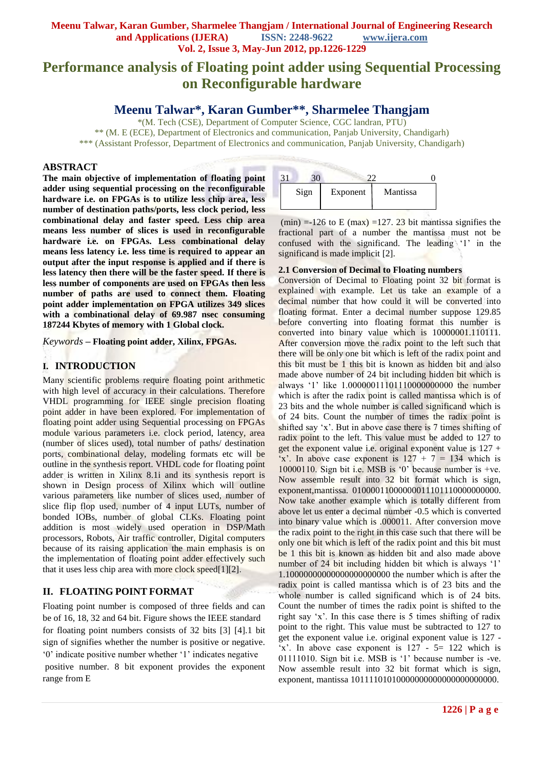# **Meenu Talwar, Karan Gumber, Sharmelee Thangjam / International Journal of Engineering Research and Applications (IJERA) ISSN: 2248-9622 www.ijera.com Vol. 2, Issue 3, May-Jun 2012, pp.1226-1229**

# **Performance analysis of Floating point adder using Sequential Processing on Reconfigurable hardware**

# **Meenu Talwar\*, Karan Gumber\*\*, Sharmelee Thangjam**

\*(M. Tech (CSE), Department of Computer Science, CGC landran, PTU) \*\* (M. E (ECE), Department of Electronics and communication, Panjab University, Chandigarh) \*\*\* (Assistant Professor, Department of Electronics and communication, Panjab University, Chandigarh)

#### **ABSTRACT**

**The main objective of implementation of floating point adder using sequential processing on the reconfigurable hardware i.e. on FPGAs is to utilize less chip area, less number of destination paths/ports, less clock period, less combinational delay and faster speed. Less chip area means less number of slices is used in reconfigurable hardware i.e. on FPGAs. Less combinational delay means less latency i.e. less time is required to appear an output after the input response is applied and if there is less latency then there will be the faster speed. If there is less number of components are used on FPGAs then less number of paths are used to connect them. Floating point adder implementation on FPGA utilizes 349 slices with a combinational delay of 69.987 nsec consuming 187244 Kbytes of memory with 1 Global clock.**

*Keywords* **– Floating point adder, Xilinx, FPGAs.**

# **I. INTRODUCTION**

Many scientific problems require floating point arithmetic with high level of accuracy in their calculations. Therefore VHDL programming for IEEE single precision floating point adder in have been explored. For implementation of floating point adder using Sequential processing on FPGAs module various parameters i.e. clock period, latency, area (number of slices used), total number of paths/ destination ports, combinational delay, modeling formats etc will be outline in the synthesis report. VHDL code for floating point adder is written in Xilinx 8.1i and its synthesis report is shown in Design process of Xilinx which will outline various parameters like number of slices used, number of slice flip flop used, number of 4 input LUTs, number of bonded IOBs, number of global CLKs. Floating point addition is most widely used operation in DSP/Math processors, Robots, Air traffic controller, Digital computers because of its raising application the main emphasis is on the implementation of floating point adder effectively such that it uses less chip area with more clock speed[1][2].

# **II. FLOATING POINT FORMAT**

Floating point number is composed of three fields and can be of 16, 18, 32 and 64 bit. Figure shows the IEEE standard for floating point numbers consists of 32 bits [3] [4].1 bit sign of signifies whether the number is positive or negative. "0" indicate positive number whether "1" indicates negative positive number. 8 bit exponent provides the exponent range from E



(min) =-126 to E (max) =127. 23 bit mantissa signifies the fractional part of a number the mantissa must not be confused with the significand. The leading '1' in the significand is made implicit [2].

#### **2.1 Conversion of Decimal to Floating numbers**

Conversion of Decimal to Floating point 32 bit format is explained with example. Let us take an example of a decimal number that how could it will be converted into floating format. Enter a decimal number suppose 129.85 before converting into floating format this number is converted into binary value which is 10000001.110111. After conversion move the radix point to the left such that there will be only one bit which is left of the radix point and this bit must be 1 this bit is known as hidden bit and also made above number of 24 bit including hidden bit which is always "1" like 1.00000011101110000000000 the number which is after the radix point is called mantissa which is of 23 bits and the whole number is called significand which is of 24 bits. Count the number of times the radix point is shifted say 'x'. But in above case there is 7 times shifting of radix point to the left. This value must be added to 127 to get the exponent value i.e. original exponent value is  $127 +$ 'x'. In above case exponent is  $127 + 7 = 134$  which is 10000110. Sign bit i.e. MSB is "0" because number is +ve. Now assemble result into 32 bit format which is sign, exponent,mantissa. 01000011000000011101110000000000. Now take another example which is totally different from above let us enter a decimal number -0.5 which is converted into binary value which is .000011. After conversion move the radix point to the right in this case such that there will be only one bit which is left of the radix point and this bit must be 1 this bit is known as hidden bit and also made above number of 24 bit including hidden bit which is always '1' 1.10000000000000000000000 the number which is after the radix point is called mantissa which is of 23 bits and the whole number is called significand which is of 24 bits. Count the number of times the radix point is shifted to the right say 'x'. In this case there is 5 times shifting of radix point to the right. This value must be subtracted to 127 to get the exponent value i.e. original exponent value is 127  $x'$ . In above case exponent is 127 - 5 = 122 which is 01111010. Sign bit i.e. MSB is "1" because number is -ve. Now assemble result into 32 bit format which is sign, exponent, mantissa 10111101010000000000000000000000.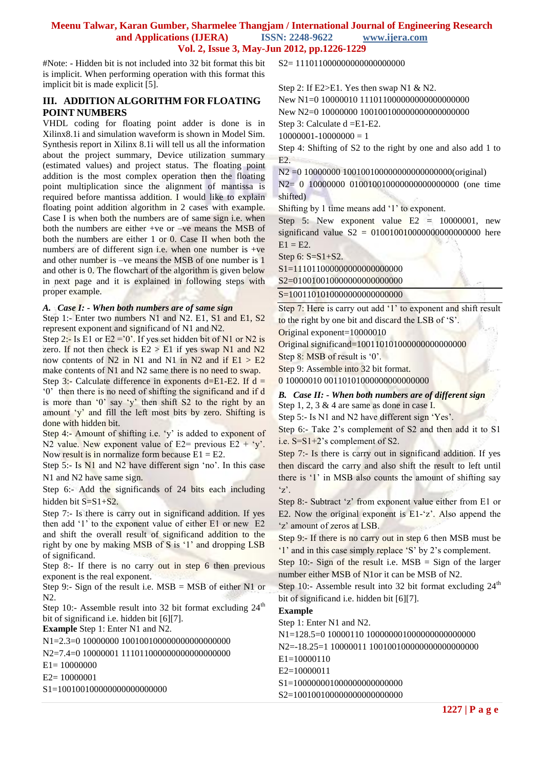### **Meenu Talwar, Karan Gumber, Sharmelee Thangjam / International Journal of Engineering Research and Applications (IJERA) ISSN: 2248-9622 www.ijera.com Vol. 2, Issue 3, May-Jun 2012, pp.1226-1229**

#Note: - Hidden bit is not included into 32 bit format this bit is implicit. When performing operation with this format this implicit bit is made explicit [5].

### **III. ADDITION ALGORITHM FOR FLOATING POINT NUMBERS**

VHDL coding for floating point adder is done is in Xilinx8.1i and simulation waveform is shown in Model Sim. Synthesis report in Xilinx 8.1i will tell us all the information about the project summary, Device utilization summary (estimated values) and project status. The floating point addition is the most complex operation then the floating point multiplication since the alignment of mantissa is required before mantissa addition. I would like to explain floating point addition algorithm in 2 cases with example. Case I is when both the numbers are of same sign i.e. when both the numbers are either +ve or –ve means the MSB of both the numbers are either 1 or 0. Case II when both the numbers are of different sign i.e. when one number is  $+ve$ and other number is –ve means the MSB of one number is 1 and other is 0. The flowchart of the algorithm is given below in next page and it is explained in following steps with proper example.

#### *A. Case I: - When both numbers are of same sign*

Step 1:- Enter two numbers N1 and N2. E1, S1 and E1, S2 represent exponent and significand of N1 and N2.

Step 2:- Is E1 or E2 =  $0'$ . If yes set hidden bit of N1 or N2 is zero. If not then check is  $E2 > E1$  if yes swap N1 and N2 now contents of N2 in N1 and N1 in N2 and if  $E1 > E2$ make contents of N1 and N2 same there is no need to swap.

Step 3:- Calculate difference in exponents d=E1-E2. If  $d =$ "0" then there is no need of shifting the significand and if d is more than  $0'$  say 'y' then shift S2 to the right by an amount 'y' and fill the left most bits by zero. Shifting is done with hidden bit.

Step 4:- Amount of shifting i.e. 'y' is added to exponent of N2 value. New exponent value of E2= previous  $E2 + y'$ . Now result is in normalize form because  $E1 = E2$ .

Step 5:- Is N1 and N2 have different sign 'no'. In this case N1 and N2 have same sign.

Step 6:- Add the significands of 24 bits each including hidden bit S=S1+S2.

Step 7:- Is there is carry out in significand addition. If yes then add '1' to the exponent value of either E1 or new E2 and shift the overall result of significand addition to the right by one by making MSB of S is "1" and dropping LSB of significand.

Step 8:- If there is no carry out in step 6 then previous exponent is the real exponent.

Step 9:- Sign of the result i.e.  $MSB = MSB$  of either N1 or N2.

Step 10:- Assemble result into 32 bit format excluding  $24<sup>th</sup>$ bit of significand i.e. hidden bit [6][7].

**Example** Step 1: Enter N1 and N2.

N1=2.3=0 10000000 100100100000000000000000

N2=7.4=0 10000001 111011000000000000000000

E1= 10000000

E2= 10000001

S1=10010010000000000000000000

S2= 111011000000000000000000

Step 2: If E2>E1. Yes then swap N1 & N2. New N1=0 10000010 111011000000000000000000 New N2=0 10000000 100100100000000000000000

Step 3: Calculate d =E1-E2.

 $10000001 - 10000000 = 1$ 

Step 4: Shifting of S2 to the right by one and also add 1 to E2.

N2 =0 10000000 100100100000000000000000(original)

N2= 0 10000000 010010010000000000000000 (one time shifted)

Shifting by 1 time means add '1' to exponent.

Step 5: New exponent value  $E2 = 10000001$ , new significand value  $S2 = 01001001000000000000000$  here  $E1 = E2$ .

Step 6: S=S1+S2.

S1=1110110000000000000000000

S2=010010010000000000000000

S=1001101010000000000000000

Step 7: Here is carry out add '1' to exponent and shift result to the right by one bit and discard the LSB of "S".

Original exponent=10000010

Original significand=100110101000000000000000

Step 8: MSB of result is '0'.

Step 9: Assemble into 32 bit format.

0 10000010 001101010000000000000000

*B. Case II: - When both numbers are of different sign* Step 1, 2, 3 & 4 are same as done in case I.

Step 5:- Is N1 and N2 have different sign 'Yes'.

Step 6:- Take 2"s complement of S2 and then add it to S1 i.e. S=S1+2's complement of S2.

Step 7:- Is there is carry out in significand addition. If yes then discard the carry and also shift the result to left until there is '1' in MSB also counts the amount of shifting say  $z'.$ 

Step 8:- Subtract 'z' from exponent value either from E1 or E2. Now the original exponent is  $E1-z^2$ . Also append the 'z' amount of zeros at LSB.

Step 9:- If there is no carry out in step 6 then MSB must be "1" and in this case simply replace "S" by 2"s complement.

Step 10:- Sign of the result i.e. MSB = Sign of the larger number either MSB of N1or it can be MSB of N2.

Step 10:- Assemble result into 32 bit format excluding  $24<sup>th</sup>$ bit of significand i.e. hidden bit [6][7].

**Example**

Step 1: Enter N1 and N2.

N1=128.5=0 10000110 100000001000000000000000

N2=-18.25=1 10000011 100100100000000000000000

E1=10000110

E2=10000011

S1=100000001000000000000000

S2=10010010000000000000000000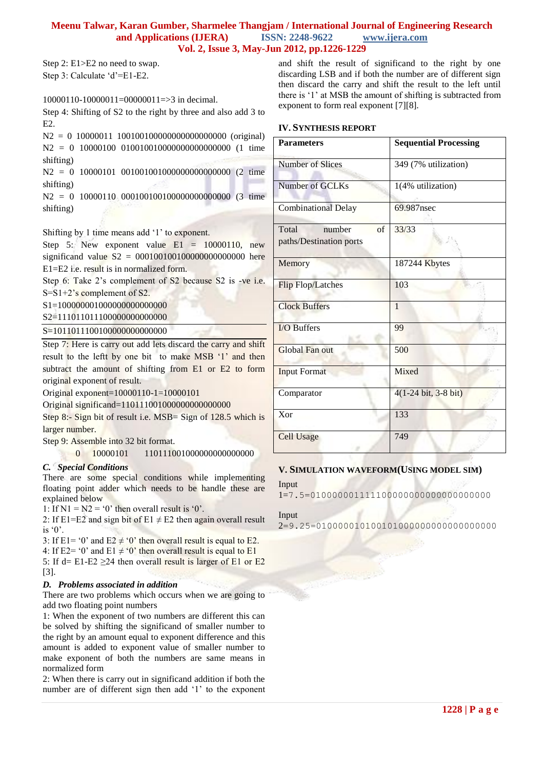### **Meenu Talwar, Karan Gumber, Sharmelee Thangjam / International Journal of Engineering Research and Applications (IJERA) ISSN: 2248-9622 www.ijera.com Vol. 2, Issue 3, May-Jun 2012, pp.1226-1229**

Step 2: E1>E2 no need to swap. Step 3: Calculate 'd'=E1-E2.

10000110-10000011=00000011=>3 in decimal.

Step 4: Shifting of S2 to the right by three and also add 3 to E2.

N2 = 0 10000011 100100100000000000000000 (original) N2 = 0 10000100 010010010000000000000000 (1 time shifting)

N2 = 0 10000101 001001001000000000000000 (2 time shifting)

N2 = 0 10000110 000100100100000000000000 (3 time shifting)

Shifting by 1 time means add "1" to exponent.

Step 5: New exponent value  $E1 = 10000110$ , new significand value  $S2 = 00010010010000000000000$  here E1=E2 i.e. result is in normalized form.

Step 6: Take 2's complement of S2 because S2 is -ve i.e. S=S1+2"s complement of S2.

S1=100000001000000000000000

S2=1110110111000000000000000

S=1011011100100000000000000

Step 7: Here is carry out add lets discard the carry and shift result to the leftt by one bit to make MSB '1' and then subtract the amount of shifting from E1 or E2 to form original exponent of result.

Original exponent=10000110-1=10000101

Original significand=110111001000000000000000

Step 8:- Sign bit of result i.e. MSB= Sign of 128.5 which is larger number.

Step 9: Assemble into 32 bit format.

0 10000101 110111001000000000000000

#### *C. Special Conditions*

There are some special conditions while implementing floating point adder which needs to be handle these are explained below

1: If  $N1 = N2 = 0$ ' then overall result is '0'.

2: If E1=E2 and sign bit of E1  $\neq$  E2 then again overall result is  $\degree 0$ .

3: If E1= '0' and E2  $\neq$  '0' then overall result is equal to E2.

4: If E2= '0' and E1  $\neq$  '0' then overall result is equal to E1

5: If d= E1-E2  $\geq$ 24 then overall result is larger of E1 or E2 [3].

#### *D. Problems associated in addition*

There are two problems which occurs when we are going to add two floating point numbers

1: When the exponent of two numbers are different this can be solved by shifting the significand of smaller number to the right by an amount equal to exponent difference and this amount is added to exponent value of smaller number to make exponent of both the numbers are same means in normalized form

2: When there is carry out in significand addition if both the number are of different sign then add "1" to the exponent and shift the result of significand to the right by one discarding LSB and if both the number are of different sign then discard the carry and shift the result to the left until there is '1' at MSB the amount of shifting is subtracted from exponent to form real exponent [7][8].

#### **IV. SYNTHESIS REPORT**

| <b>Parameters</b>           | <b>Sequential Processing</b> |  |  |  |
|-----------------------------|------------------------------|--|--|--|
|                             |                              |  |  |  |
| <b>Number of Slices</b>     | 349 (7% utilization)         |  |  |  |
|                             |                              |  |  |  |
| Number of GCLKs             | 1(4% utilization)            |  |  |  |
| <b>Combinational Delay</b>  | 69.987nsec                   |  |  |  |
| Total<br>number<br>$\alpha$ | 33/33                        |  |  |  |
| paths/Destination ports     |                              |  |  |  |
| Memory                      | 187244 Kbytes                |  |  |  |
| <b>Flip Flop/Latches</b>    | 103                          |  |  |  |
| <b>Clock Buffers</b>        | $\mathbf{1}$                 |  |  |  |
| I/O Buffers                 | 99                           |  |  |  |
| Global Fan out              | 500                          |  |  |  |
| <b>Input Format</b>         | Mixed                        |  |  |  |
| Comparator                  | 4(1-24 bit, 3-8 bit)         |  |  |  |
| Xor                         | 133                          |  |  |  |
| <b>Cell Usage</b>           | 749                          |  |  |  |

# **V. SIMULATION WAVEFORM(USING MODEL SIM)**

Input

1=7.5=010000001111100000000000000000000

# Input 2=9.25=010000010100101000000000000000000